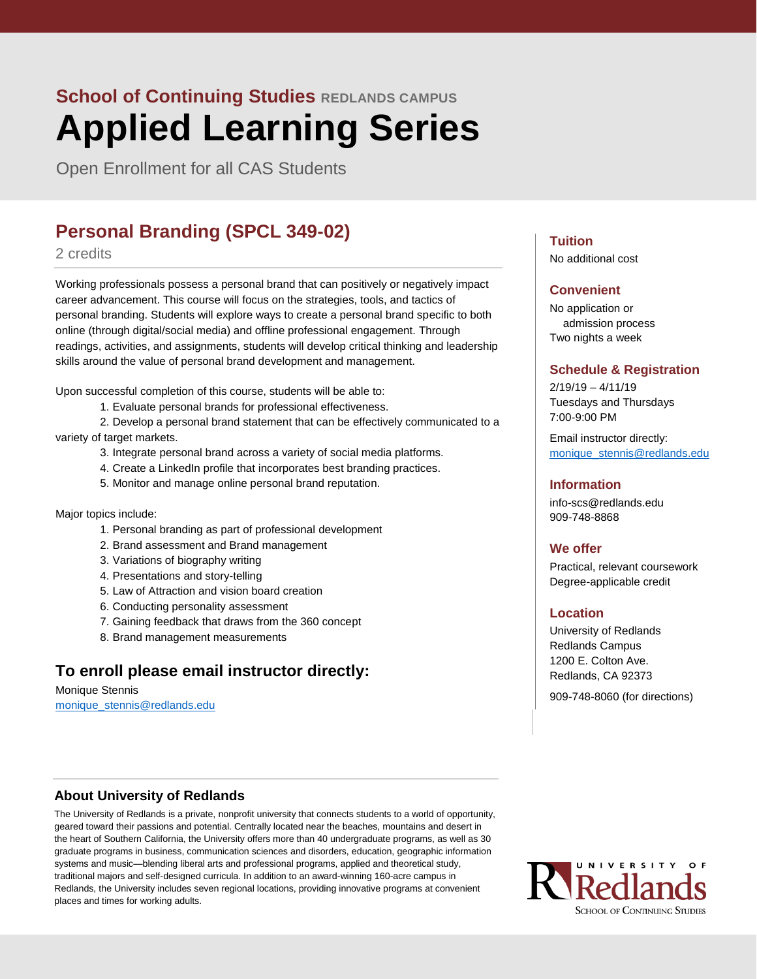Open Enrollment for all CAS Students

## **Personal Branding (SPCL 349-02)**

#### 2 credits

Working professionals possess a personal brand that can positively or negatively impact career advancement. This course will focus on the strategies, tools, and tactics of personal branding. Students will explore ways to create a personal brand specific to both online (through digital/social media) and offline professional engagement. Through readings, activities, and assignments, students will develop critical thinking and leadership skills around the value of personal brand development and management.

Upon successful completion of this course, students will be able to:

1. Evaluate personal brands for professional effectiveness.

2. Develop a personal brand statement that can be effectively communicated to a variety of target markets.

- 3. Integrate personal brand across a variety of social media platforms.
- 4. Create a LinkedIn profile that incorporates best branding practices.
- 5. Monitor and manage online personal brand reputation.

Major topics include:

- 1. Personal branding as part of professional development
- 2. Brand assessment and Brand management
- 3. Variations of biography writing
- 4. Presentations and story-telling
- 5. Law of Attraction and vision board creation
- 6. Conducting personality assessment
- 7. Gaining feedback that draws from the 360 concept
- 8. Brand management measurements

## **To enroll please email instructor directly:**

Monique Stennis [monique\\_stennis@redlands.edu](mailto:monique_stennis@redlands.edu)

### **Tuition**

No additional cost

#### **Convenient**

No application or admission process Two nights a week

#### **Schedule & Registration**

 $2/19/19 - 4/11/19$ Tuesdays and Thursdays 7:00-9:00 PM

Email instructor directly: [monique\\_stennis@redlands.edu](mailto:monique_stennis@redlands.edu)

#### **Information**

info-scs@redlands.edu 909-748-8868

#### **We offer**

Practical, relevant coursework Degree-applicable credit

#### **Location**

University of Redlands Redlands Campus 1200 E. Colton Ave. Redlands, CA 92373

909-748-8060 (for directions)

### **About University of Redlands**

The University of Redlands is a private, nonprofit university that connects students to a world of opportunity, geared toward their passions and potential. Centrally located near the beaches, mountains and desert in the heart of Southern California, the University offers more than 40 undergraduate programs, as well as 30 graduate programs in business, communication sciences and disorders, education, geographic information systems and music—blending liberal arts and professional programs, applied and theoretical study, traditional majors and self-designed curricula. In addition to an award-winning 160-acre campus in Redlands, the University includes seven regional locations, providing innovative programs at convenient places and times for working adults.

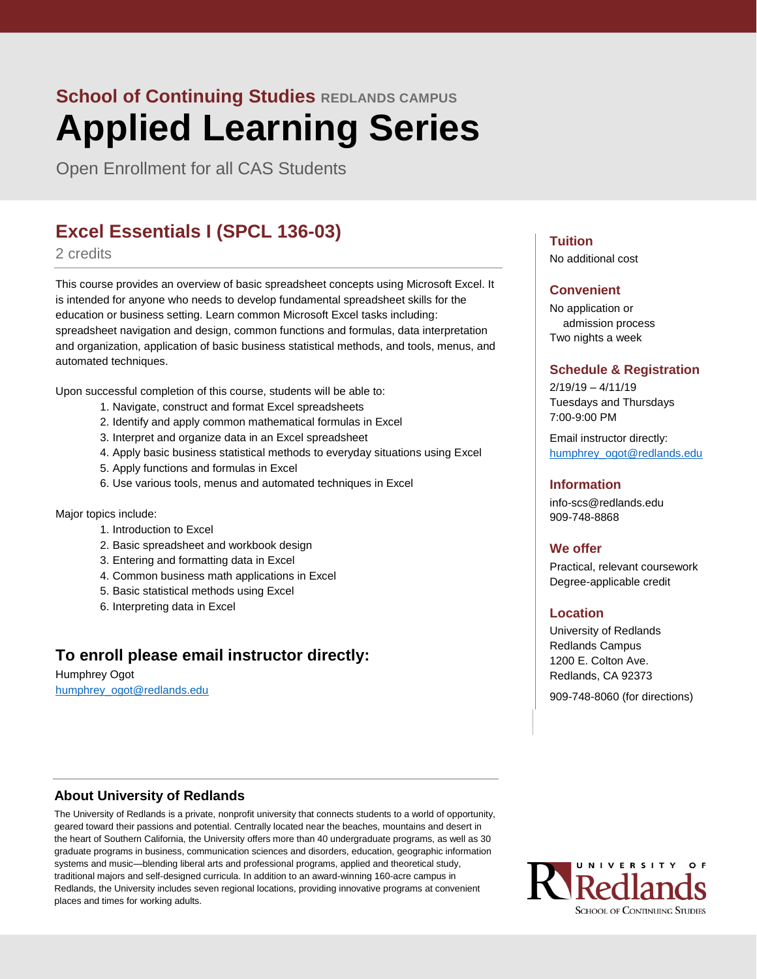Open Enrollment for all CAS Students

# **Excel Essentials I (SPCL 136-03)**

#### 2 credits

This course provides an overview of basic spreadsheet concepts using Microsoft Excel. It is intended for anyone who needs to develop fundamental spreadsheet skills for the education or business setting. Learn common Microsoft Excel tasks including: spreadsheet navigation and design, common functions and formulas, data interpretation and organization, application of basic business statistical methods, and tools, menus, and automated techniques.

Upon successful completion of this course, students will be able to:

- 1. Navigate, construct and format Excel spreadsheets
- 2. Identify and apply common mathematical formulas in Excel
- 3. Interpret and organize data in an Excel spreadsheet
- 4. Apply basic business statistical methods to everyday situations using Excel
- 5. Apply functions and formulas in Excel
- 6. Use various tools, menus and automated techniques in Excel

Major topics include:

- 1. Introduction to Excel
- 2. Basic spreadsheet and workbook design
- 3. Entering and formatting data in Excel
- 4. Common business math applications in Excel
- 5. Basic statistical methods using Excel
- 6. Interpreting data in Excel

## **To enroll please email instructor directly:**

Humphrey Ogot [humphrey\\_ogot@redlands.edu](mailto:humphrey_ogot@redlands.edu)

#### **Tuition**

No additional cost

#### **Convenient**

No application or admission process Two nights a week

#### **Schedule & Registration**

 $2/19/19 - 4/11/19$ Tuesdays and Thursdays 7:00-9:00 PM

Email instructor directly: [humphrey\\_ogot@redlands.edu](mailto:humphrey_ogot@redlands.edu)

#### **Information**

info-scs@redlands.edu 909-748-8868

#### **We offer**

Practical, relevant coursework Degree-applicable credit

#### **Location**

University of Redlands Redlands Campus 1200 E. Colton Ave. Redlands, CA 92373

909-748-8060 (for directions)

#### **About University of Redlands**

The University of Redlands is a private, nonprofit university that connects students to a world of opportunity, geared toward their passions and potential. Centrally located near the beaches, mountains and desert in the heart of Southern California, the University offers more than 40 undergraduate programs, as well as 30 graduate programs in business, communication sciences and disorders, education, geographic information systems and music—blending liberal arts and professional programs, applied and theoretical study, traditional majors and self-designed curricula. In addition to an award-winning 160-acre campus in Redlands, the University includes seven regional locations, providing innovative programs at convenient places and times for working adults.

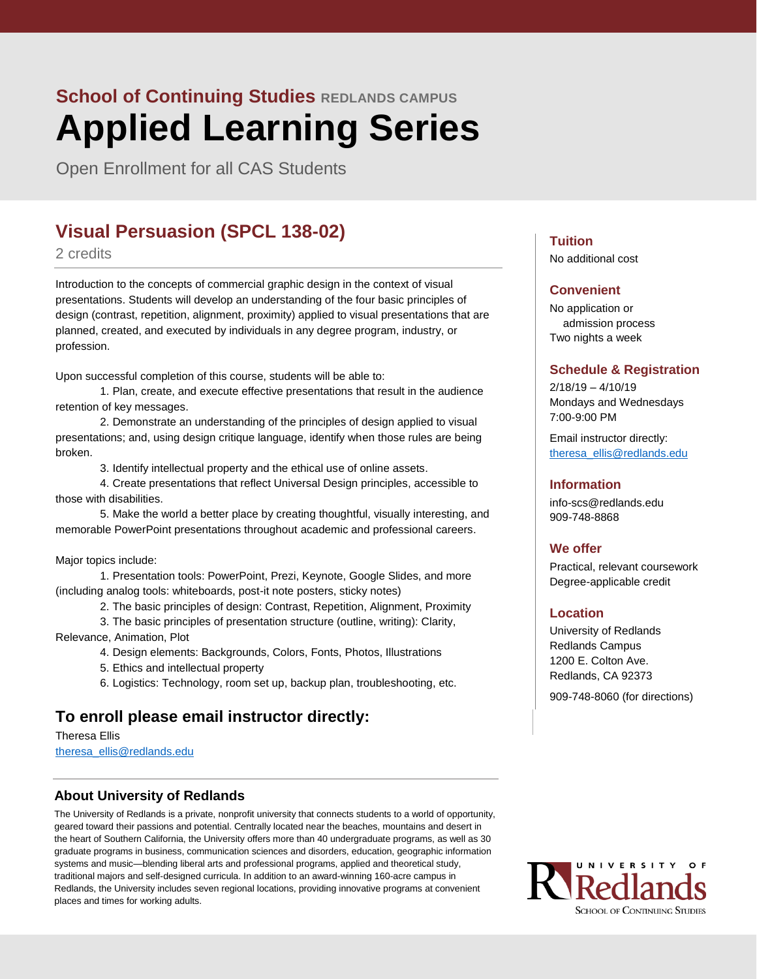Open Enrollment for all CAS Students

## **Visual Persuasion (SPCL 138-02)**

#### 2 credits

Introduction to the concepts of commercial graphic design in the context of visual presentations. Students will develop an understanding of the four basic principles of design (contrast, repetition, alignment, proximity) applied to visual presentations that are planned, created, and executed by individuals in any degree program, industry, or profession.

Upon successful completion of this course, students will be able to:

1. Plan, create, and execute effective presentations that result in the audience retention of key messages.

2. Demonstrate an understanding of the principles of design applied to visual presentations; and, using design critique language, identify when those rules are being broken.

3. Identify intellectual property and the ethical use of online assets.

4. Create presentations that reflect Universal Design principles, accessible to those with disabilities.

5. Make the world a better place by creating thoughtful, visually interesting, and memorable PowerPoint presentations throughout academic and professional careers.

#### Major topics include:

1. Presentation tools: PowerPoint, Prezi, Keynote, Google Slides, and more (including analog tools: whiteboards, post-it note posters, sticky notes)

2. The basic principles of design: Contrast, Repetition, Alignment, Proximity

3. The basic principles of presentation structure (outline, writing): Clarity, Relevance, Animation, Plot

4. Design elements: Backgrounds, Colors, Fonts, Photos, Illustrations

5. Ethics and intellectual property

6. Logistics: Technology, room set up, backup plan, troubleshooting, etc.

## **To enroll please email instructor directly:**

Theresa Ellis [theresa\\_ellis@redlands.edu](mailto:theresa_ellis@redlands.edu)

#### **About University of Redlands**

The University of Redlands is a private, nonprofit university that connects students to a world of opportunity, geared toward their passions and potential. Centrally located near the beaches, mountains and desert in the heart of Southern California, the University offers more than 40 undergraduate programs, as well as 30 graduate programs in business, communication sciences and disorders, education, geographic information systems and music—blending liberal arts and professional programs, applied and theoretical study, traditional majors and self-designed curricula. In addition to an award-winning 160-acre campus in Redlands, the University includes seven regional locations, providing innovative programs at convenient places and times for working adults.

#### **Tuition**

No additional cost

#### **Convenient**

No application or admission process Two nights a week

#### **Schedule & Registration**

2/18/19 – 4/10/19 Mondays and Wednesdays 7:00-9:00 PM

Email instructor directly: [theresa\\_ellis@redlands.edu](mailto:theresa_ellis@redlands.edu)

#### **Information**

info-scs@redlands.edu 909-748-8868

#### **We offer**

Practical, relevant coursework Degree-applicable credit

#### **Location**

University of Redlands Redlands Campus 1200 E. Colton Ave. Redlands, CA 92373

909-748-8060 (for directions)